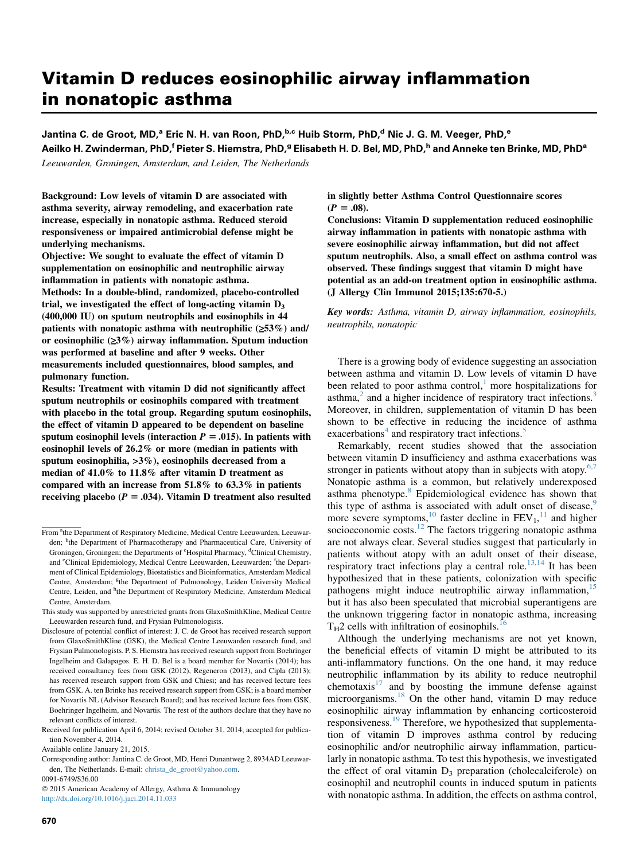# Vitamin D reduces eosinophilic airway inflammation in nonatopic asthma

Jantina C. de Groot, MD,<sup>a</sup> Eric N. H. van Roon, PhD,<sup>b,c</sup> Huib Storm, PhD,<sup>d</sup> Nic J. G. M. Veeger, PhD,<sup>e</sup> Aeilko H. Zwinderman, PhD,<sup>f</sup> Pieter S. Hiemstra, PhD,<sup>g</sup> Elisabeth H. D. Bel, MD, PhD,<sup>h</sup> and Anneke ten Brinke, MD, PhD<sup>a</sup>

Leeuwarden, Groningen, Amsterdam, and Leiden, The Netherlands

Background: Low levels of vitamin D are associated with asthma severity, airway remodeling, and exacerbation rate increase, especially in nonatopic asthma. Reduced steroid responsiveness or impaired antimicrobial defense might be underlying mechanisms.

Objective: We sought to evaluate the effect of vitamin D supplementation on eosinophilic and neutrophilic airway inflammation in patients with nonatopic asthma. Methods: In a double-blind, randomized, placebo-controlled trial, we investigated the effect of long-acting vitamin  $D_3$ (400,000 IU) on sputum neutrophils and eosinophils in 44 patients with nonatopic asthma with neutrophilic  $(\geq 53\%)$  and/ or eosinophilic  $(23\%)$  airway inflammation. Sputum induction was performed at baseline and after 9 weeks. Other measurements included questionnaires, blood samples, and pulmonary function.

Results: Treatment with vitamin D did not significantly affect sputum neutrophils or eosinophils compared with treatment with placebo in the total group. Regarding sputum eosinophils, the effect of vitamin D appeared to be dependent on baseline sputum eosinophil levels (interaction  $P = .015$ ). In patients with eosinophil levels of 26.2% or more (median in patients with sputum eosinophilia, >3%), eosinophils decreased from a median of 41.0% to 11.8% after vitamin D treatment as compared with an increase from 51.8% to 63.3% in patients receiving placebo ( $P = .034$ ). Vitamin D treatment also resulted

 2015 American Academy of Allergy, Asthma & Immunology <http://dx.doi.org/10.1016/j.jaci.2014.11.033>

in slightly better Asthma Control Questionnaire scores  $(P = .08)$ .

Conclusions: Vitamin D supplementation reduced eosinophilic airway inflammation in patients with nonatopic asthma with severe eosinophilic airway inflammation, but did not affect sputum neutrophils. Also, a small effect on asthma control was observed. These findings suggest that vitamin D might have potential as an add-on treatment option in eosinophilic asthma. (J Allergy Clin Immunol 2015;135:670-5.)

Key words: Asthma, vitamin D, airway inflammation, eosinophils, neutrophils, nonatopic

There is a growing body of evidence suggesting an association between asthma and vitamin D. Low levels of vitamin D have been related to poor asthma control,<sup>1</sup> more hospitalizations for asthma, $^{2}$  and a higher incidence of respiratory tract infections.<sup>[3](#page-5-0)</sup> Moreover, in children, supplementation of vitamin D has been shown to be effective in reducing the incidence of asthma exacerbations<sup>[4](#page-5-0)</sup> and respiratory tract infections.<sup>[5](#page-5-0)</sup>

Remarkably, recent studies showed that the association between vitamin D insufficiency and asthma exacerbations was stronger in patients without atopy than in subjects with atopy. $6,7$ Nonatopic asthma is a common, but relatively underexposed asthma phenotype.<sup>[8](#page-5-0)</sup> Epidemiological evidence has shown that this type of asthma is associated with adult onset of disease,<sup>[9](#page-5-0)</sup> more severe symptoms,<sup>[10](#page-5-0)</sup> faster decline in  $FEV<sub>1</sub>$ ,<sup>[11](#page-5-0)</sup> and higher socioeconomic costs.<sup>12</sup> The factors triggering nonatopic asthma are not always clear. Several studies suggest that particularly in patients without atopy with an adult onset of their disease, respiratory tract infections play a central role.<sup>[13,14](#page-5-0)</sup> It has been hypothesized that in these patients, colonization with specific pathogens might induce neutrophilic airway inflammation.<sup>[15](#page-5-0)</sup> but it has also been speculated that microbial superantigens are the unknown triggering factor in nonatopic asthma, increasing  $T_H$ 2 cells with infiltration of eosinophils.<sup>16</sup>

Although the underlying mechanisms are not yet known, the beneficial effects of vitamin D might be attributed to its anti-inflammatory functions. On the one hand, it may reduce neutrophilic inflammation by its ability to reduce neutrophil chemotaxis $17$  and by boosting the immune defense against microorganisms.<sup>[18](#page-5-0)</sup> On the other hand, vitamin D may reduce eosinophilic airway inflammation by enhancing corticosteroid responsiveness.<sup>[19](#page-5-0)</sup> Therefore, we hypothesized that supplementation of vitamin D improves asthma control by reducing eosinophilic and/or neutrophilic airway inflammation, particularly in nonatopic asthma. To test this hypothesis, we investigated the effect of oral vitamin  $D_3$  preparation (cholecalciferole) on eosinophil and neutrophil counts in induced sputum in patients with nonatopic asthma. In addition, the effects on asthma control,

From <sup>a</sup>the Department of Respiratory Medicine, Medical Centre Leeuwarden, Leeuwarden; <sup>b</sup>the Department of Pharmacotherapy and Pharmaceutical Care, University of Groningen, Groningen; the Departments of <sup>c</sup>Hospital Pharmacy, <sup>d</sup>Clinical Chemistry, and <sup>e</sup>Clinical Epidemiology, Medical Centre Leeuwarden, Leeuwarden; <sup>f</sup>the Department of Clinical Epidemiology, Biostatistics and Bioinformatics, Amsterdam Medical Centre, Amsterdam; <sup>g</sup>the Department of Pulmonology, Leiden University Medical Centre, Leiden, and <sup>h</sup>the Department of Respiratory Medicine, Amsterdam Medical Centre, Amsterdam.

This study was supported by unrestricted grants from GlaxoSmithKline, Medical Centre Leeuwarden research fund, and Frysian Pulmonologists.

Disclosure of potential conflict of interest: J. C. de Groot has received research support from GlaxoSmithKline (GSK), the Medical Centre Leeuwarden research fund, and Frysian Pulmonologists. P. S. Hiemstra has received research support from Boehringer Ingelheim and Galapagos. E. H. D. Bel is a board member for Novartis (2014); has received consultancy fees from GSK (2012), Regeneron (2013), and Cipla (2013); has received research support from GSK and Chiesi; and has received lecture fees from GSK. A. ten Brinke has received research support from GSK; is a board member for Novartis NL (Advisor Research Board); and has received lecture fees from GSK, Boehringer Ingelheim, and Novartis. The rest of the authors declare that they have no relevant conflicts of interest.

Received for publication April 6, 2014; revised October 31, 2014; accepted for publication November 4, 2014.

Available online January 21, 2015.

Corresponding author: Jantina C. de Groot, MD, Henri Dunantweg 2, 8934AD Leeuwarden, The Netherlands. E-mail: [christa\\_de\\_groot@yahoo.com](mailto:christa_de_groot@yahoo.com).

<sup>0091-6749/\$36.00</sup>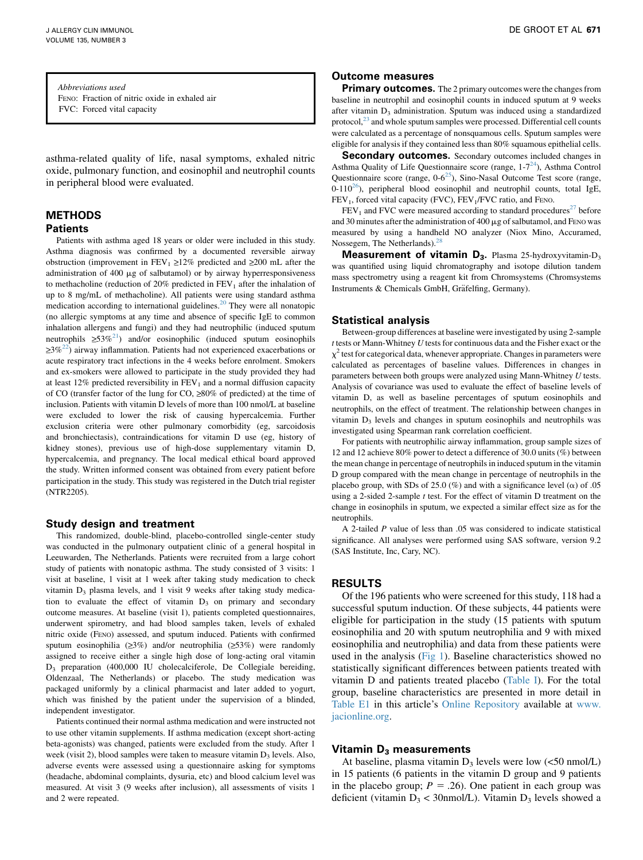Abbreviations used FENO: Fraction of nitric oxide in exhaled air FVC: Forced vital capacity

asthma-related quality of life, nasal symptoms, exhaled nitric oxide, pulmonary function, and eosinophil and neutrophil counts in peripheral blood were evaluated.

### METHODS Patients

Patients with asthma aged 18 years or older were included in this study. Asthma diagnosis was confirmed by a documented reversible airway obstruction (improvement in FEV<sub>1</sub>  $\geq$ 12% predicted and  $\geq$ 200 mL after the administration of 400  $\mu$ g of salbutamol) or by airway hyperresponsiveness to methacholine (reduction of  $20\%$  predicted in  $FEV_1$  after the inhalation of up to 8 mg/mL of methacholine). All patients were using standard asthma medication according to international guidelines.<sup>[20](#page-5-0)</sup> They were all nonatopic (no allergic symptoms at any time and absence of specific IgE to common inhalation allergens and fungi) and they had neutrophilic (induced sputum neutrophils  $\geq 53\%^{21}$ ) and/or eosinophilic (induced sputum eosinophils  $\geq 3\%^{22}$ ) airway inflammation. Patients had not experienced exacerbations or acute respiratory tract infections in the 4 weeks before enrolment. Smokers and ex-smokers were allowed to participate in the study provided they had at least 12% predicted reversibility in  $FEV<sub>1</sub>$  and a normal diffusion capacity of CO (transfer factor of the lung for CO,  $\geq 80\%$  of predicted) at the time of inclusion. Patients with vitamin D levels of more than 100 nmol/L at baseline were excluded to lower the risk of causing hypercalcemia. Further exclusion criteria were other pulmonary comorbidity (eg, sarcoidosis and bronchiectasis), contraindications for vitamin D use (eg, history of kidney stones), previous use of high-dose supplementary vitamin D, hypercalcemia, and pregnancy. The local medical ethical board approved the study. Written informed consent was obtained from every patient before participation in the study. This study was registered in the Dutch trial register (NTR2205).

#### Study design and treatment

This randomized, double-blind, placebo-controlled single-center study was conducted in the pulmonary outpatient clinic of a general hospital in Leeuwarden, The Netherlands. Patients were recruited from a large cohort study of patients with nonatopic asthma. The study consisted of 3 visits: 1 visit at baseline, 1 visit at 1 week after taking study medication to check vitamin  $D_3$  plasma levels, and 1 visit 9 weeks after taking study medication to evaluate the effect of vitamin  $D_3$  on primary and secondary outcome measures. At baseline (visit 1), patients completed questionnaires, underwent spirometry, and had blood samples taken, levels of exhaled nitric oxide (FENO) assessed, and sputum induced. Patients with confirmed sputum eosinophilia ( $\geq 3\%$ ) and/or neutrophilia ( $\geq 53\%$ ) were randomly assigned to receive either a single high dose of long-acting oral vitamin D3 preparation (400,000 IU cholecalciferole, De Collegiale bereiding, Oldenzaal, The Netherlands) or placebo. The study medication was packaged uniformly by a clinical pharmacist and later added to yogurt, which was finished by the patient under the supervision of a blinded, independent investigator.

Patients continued their normal asthma medication and were instructed not to use other vitamin supplements. If asthma medication (except short-acting beta-agonists) was changed, patients were excluded from the study. After 1 week (visit 2), blood samples were taken to measure vitamin  $D_3$  levels. Also, adverse events were assessed using a questionnaire asking for symptoms (headache, abdominal complaints, dysuria, etc) and blood calcium level was measured. At visit 3 (9 weeks after inclusion), all assessments of visits 1 and 2 were repeated.

# Outcome measures

**Primary outcomes.** The 2 primary outcomes were the changes from baseline in neutrophil and eosinophil counts in induced sputum at 9 weeks after vitamin D<sub>3</sub> administration. Sputum was induced using a standardized protocol, $^{23}$  and whole sputum samples were processed. Differential cell counts were calculated as a percentage of nonsquamous cells. Sputum samples were eligible for analysis if they contained less than 80% squamous epithelial cells.

Secondary outcomes. Secondary outcomes included changes in Asthma Quality of Life Questionnaire score (range,  $1-7<sup>24</sup>$ ), Asthma Control Questionnaire score (range,  $0.6^{25}$ ), Sino-Nasal Outcome Test score (range,  $0-110^{26}$ ), peripheral blood eosinophil and neutrophil counts, total IgE,  $FEV<sub>1</sub>$ , forced vital capacity (FVC),  $FEV<sub>1</sub>/FVC$  ratio, and Feno.

 $FEV<sub>1</sub>$  and FVC were measured according to standard procedures<sup>[27](#page-5-0)</sup> before and 30 minutes after the administration of 400  $\mu$ g of salbutamol, and FENO was measured by using a handheld NO analyzer (Niox Mino, Accuramed, Nossegem, The Netherlands).<sup>[28](#page-5-0)</sup>

**Measurement of vitamin**  $D_3$ **.** Plasma 25-hydroxyvitamin- $D_3$ was quantified using liquid chromatography and isotope dilution tandem mass spectrometry using a reagent kit from Chromsystems (Chromsystems Instruments & Chemicals GmbH, Gräfelfing, Germany).

#### Statistical analysis

Between-group differences at baseline were investigated by using 2-sample t tests or Mann-Whitney U tests for continuous data and the Fisher exact or the  $\chi^2$  test for categorical data, whenever appropriate. Changes in parameters were calculated as percentages of baseline values. Differences in changes in parameters between both groups were analyzed using Mann-Whitney U tests. Analysis of covariance was used to evaluate the effect of baseline levels of vitamin D, as well as baseline percentages of sputum eosinophils and neutrophils, on the effect of treatment. The relationship between changes in vitamin  $D_3$  levels and changes in sputum eosinophils and neutrophils was investigated using Spearman rank correlation coefficient.

For patients with neutrophilic airway inflammation, group sample sizes of 12 and 12 achieve 80% power to detect a difference of 30.0 units (%) between the mean change in percentage of neutrophils in induced sputum in the vitamin D group compared with the mean change in percentage of neutrophils in the placebo group, with SDs of 25.0 (%) and with a significance level ( $\alpha$ ) of .05 using a 2-sided 2-sample  $t$  test. For the effect of vitamin D treatment on the change in eosinophils in sputum, we expected a similar effect size as for the neutrophils.

A 2-tailed P value of less than .05 was considered to indicate statistical significance. All analyses were performed using SAS software, version 9.2 (SAS Institute, Inc, Cary, NC).

# RESULTS

Of the 196 patients who were screened for this study, 118 had a successful sputum induction. Of these subjects, 44 patients were eligible for participation in the study (15 patients with sputum eosinophilia and 20 with sputum neutrophilia and 9 with mixed eosinophilia and neutrophilia) and data from these patients were used in the analysis ([Fig 1](#page-2-0)). Baseline characteristics showed no statistically significant differences between patients treated with vitamin D and patients treated placebo [\(Table I](#page-3-0)). For the total group, baseline characteristics are presented in more detail in [Table E1](#page-6-0) in this article's Online Repository available at [www.](http://www.jacionline.org) [jacionline.org](http://www.jacionline.org).

# Vitamin  $D_3$  measurements

At baseline, plasma vitamin  $D_3$  levels were low (<50 nmol/L) in 15 patients (6 patients in the vitamin D group and 9 patients in the placebo group;  $P = .26$ ). One patient in each group was deficient (vitamin  $D_3$  < 30nmol/L). Vitamin  $D_3$  levels showed a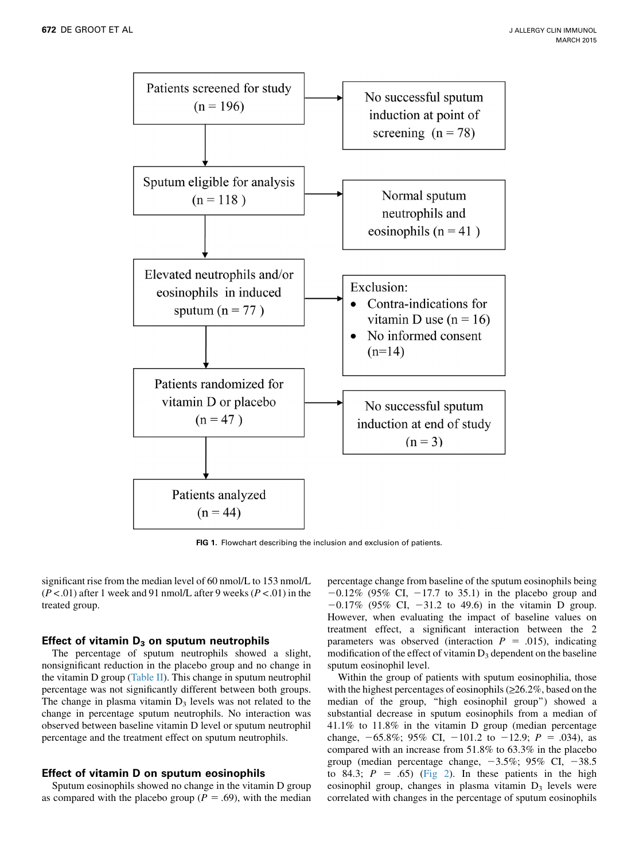<span id="page-2-0"></span>

FIG 1. Flowchart describing the inclusion and exclusion of patients.

significant rise from the median level of 60 nmol/L to 153 nmol/L  $(P < .01)$  after 1 week and 91 nmol/L after 9 weeks  $(P < .01)$  in the treated group.

#### Effect of vitamin  $D_3$  on sputum neutrophils

The percentage of sputum neutrophils showed a slight, nonsignificant reduction in the placebo group and no change in the vitamin D group [\(Table II\)](#page-4-0). This change in sputum neutrophil percentage was not significantly different between both groups. The change in plasma vitamin  $D_3$  levels was not related to the change in percentage sputum neutrophils. No interaction was observed between baseline vitamin D level or sputum neutrophil percentage and the treatment effect on sputum neutrophils.

#### Effect of vitamin D on sputum eosinophils

Sputum eosinophils showed no change in the vitamin D group as compared with the placebo group ( $P = .69$ ), with the median

percentage change from baseline of the sputum eosinophils being  $-0.12\%$  (95% CI,  $-17.7$  to 35.1) in the placebo group and  $-0.17\%$  (95% CI,  $-31.2$  to 49.6) in the vitamin D group. However, when evaluating the impact of baseline values on treatment effect, a significant interaction between the 2 parameters was observed (interaction  $P = .015$ ), indicating modification of the effect of vitamin  $D_3$  dependent on the baseline sputum eosinophil level.

Within the group of patients with sputum eosinophilia, those with the highest percentages of eosinophils  $(\geq 26.2\%$ , based on the median of the group, ''high eosinophil group'') showed a substantial decrease in sputum eosinophils from a median of 41.1% to 11.8% in the vitamin D group (median percentage change,  $-65.8\%$ ; 95% CI,  $-101.2$  to  $-12.9$ ;  $P = .034$ ), as compared with an increase from 51.8% to 63.3% in the placebo group (median percentage change,  $-3.5\%$ ; 95% CI,  $-38.5$ to 84.3;  $P = .65$ ) [\(Fig 2\)](#page-4-0). In these patients in the high eosinophil group, changes in plasma vitamin  $D_3$  levels were correlated with changes in the percentage of sputum eosinophils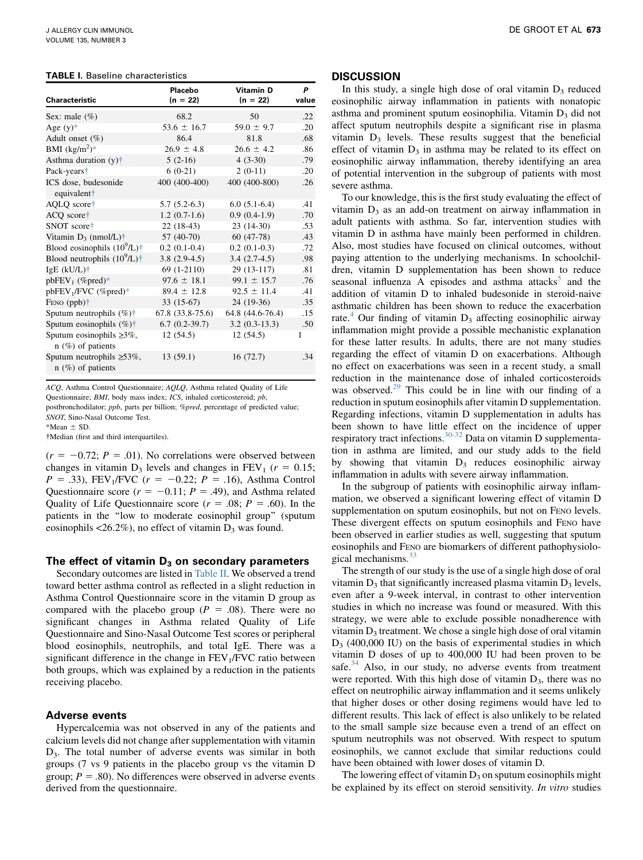#### <span id="page-3-0"></span>TABLE I. Baseline characteristics

| <b>Characteristic</b>                                   | Placebo<br>$(n = 22)$ | <b>Vitamin D</b><br>$(n = 22)$ | P<br>value |
|---------------------------------------------------------|-----------------------|--------------------------------|------------|
| Sex: male $(\%)$                                        | 68.2                  | 50                             | .22        |
| Age $(y)$ *                                             | $53.6 \pm 16.7$       | $59.0 \pm 9.7$                 | .20        |
| Adult onset (%)                                         | 86.4                  | 81.8                           | .68        |
| BMI $(kg/m^2)^*$                                        | $26.9 \pm 4.8$        | $26.6 \pm 4.2$                 | .86        |
| Asthma duration (y) <sup>†</sup>                        | $5(2-16)$             | $4(3-30)$                      | .79        |
| Pack-years <sup>+</sup>                                 | $6(0-21)$             | $2(0-11)$                      | .20        |
| ICS dose, budesonide<br>equivalent†                     | 400 (400-400)         | 400 (400-800)                  | .26        |
| AQLQ score <sup>+</sup>                                 | $5.7(5.2-6.3)$        | $6.0(5.1-6.4)$                 | .41        |
| $ACQ$ score <sup><math>\dagger</math></sup>             | $1.2(0.7-1.6)$        | $0.9(0.4-1.9)$                 | .70        |
| SNOT score†                                             | $22(18-43)$           | $23(14-30)$                    | .53        |
| Vitamin $D_3$ (nmol/L) <sup>†</sup>                     | 57 (40-70)            | $60(47-78)$                    | .43        |
| Blood eosinophils $(10^9/L)^+$                          | $0.2(0.1-0.4)$        | $0.2(0.1-0.3)$                 | .72        |
| Blood neutrophils $(10^9/L)$ <sup>†</sup>               | $3.8(2.9-4.5)$        | $3.4(2.7-4.5)$                 | .98        |
| IgE (kU/L) <sup>+</sup>                                 | 69 (1-2110)           | 29 (13-117)                    | .81        |
| $pbFEV_1$ (%pred)*                                      | $97.6 \pm 18.1$       | $99.1 \pm 15.7$                | .76        |
| pbFEV <sub>1</sub> /FVC (%pred)*                        | $89.4 \pm 12.8$       | $92.5 \pm 11.4$                | .41        |
| FENO $(ppb)$ <sup>†</sup>                               | 33 (15-67)            | 24 (19-36)                     | .35        |
| Sputum neutrophils $(\%)\dagger$                        | $67.8(33.8-75.6)$     | 64.8 (44.6-76.4)               | .15        |
| Sputum eosinophils $(\%)\dagger$                        | $6.7(0.2-39.7)$       | $3.2(0.3-13.3)$                | .50        |
| Sputum eosinophils $\geq 3\%$ ,<br>$n$ (%) of patients  | 12(54.5)              | 12(54.5)                       | 1          |
| Sputum neutrophils $\geq 53\%$ ,<br>$n$ (%) of patients | 13(59.1)              | 16(72.7)                       | .34        |

ACQ, Asthma Control Questionnaire; AQLQ, Asthma related Quality of Life Questionnaire; BMI, body mass index; ICS, inhaled corticosteroid; pb, postbronchodilator; ppb, parts per billion; %pred, percentage of predicted value; SNOT, Sino-Nasal Outcome Test.

\*Mean  $\pm$  SD.

Median (first and third interquartiles).

 $(r = -0.72; P = .01)$ . No correlations were observed between changes in vitamin  $D_3$  levels and changes in FEV<sub>1</sub> ( $r = 0.15$ ;  $P = .33$ ), FEV<sub>1</sub>/FVC ( $r = -0.22$ ;  $P = .16$ ), Asthma Control Questionnaire score ( $r = -0.11$ ;  $P = .49$ ), and Asthma related Quality of Life Questionnaire score ( $r = .08$ ;  $P = .60$ ). In the patients in the ''low to moderate eosinophil group'' (sputum eosinophils  $\langle 26.2\% \rangle$ , no effect of vitamin  $D_3$  was found.

#### The effect of vitamin  $D_3$  on secondary parameters

Secondary outcomes are listed in [Table II](#page-4-0). We observed a trend toward better asthma control as reflected in a slight reduction in Asthma Control Questionnaire score in the vitamin D group as compared with the placebo group ( $P = .08$ ). There were no significant changes in Asthma related Quality of Life Questionnaire and Sino-Nasal Outcome Test scores or peripheral blood eosinophils, neutrophils, and total IgE. There was a significant difference in the change in  $FEV<sub>1</sub>/FVC$  ratio between both groups, which was explained by a reduction in the patients receiving placebo.

#### Adverse events

Hypercalcemia was not observed in any of the patients and calcium levels did not change after supplementation with vitamin D3. The total number of adverse events was similar in both groups (7 vs 9 patients in the placebo group vs the vitamin D group;  $P = .80$ ). No differences were observed in adverse events derived from the questionnaire.

#### **DISCUSSION**

In this study, a single high dose of oral vitamin  $D_3$  reduced eosinophilic airway inflammation in patients with nonatopic asthma and prominent sputum eosinophilia. Vitamin  $D_3$  did not affect sputum neutrophils despite a significant rise in plasma vitamin  $D_3$  levels. These results suggest that the beneficial effect of vitamin  $D_3$  in asthma may be related to its effect on eosinophilic airway inflammation, thereby identifying an area of potential intervention in the subgroup of patients with most severe asthma.

To our knowledge, this is the first study evaluating the effect of vitamin  $D_3$  as an add-on treatment on airway inflammation in adult patients with asthma. So far, intervention studies with vitamin D in asthma have mainly been performed in children. Also, most studies have focused on clinical outcomes, without paying attention to the underlying mechanisms. In schoolchildren, vitamin D supplementation has been shown to reduce seasonal influenza  $\overline{A}$  episodes and asthma attacks<sup>[5](#page-5-0)</sup> and the addition of vitamin D to inhaled budesonide in steroid-naive asthmatic children has been shown to reduce the exacerbation rate.<sup>[4](#page-5-0)</sup> Our finding of vitamin  $D_3$  affecting eosinophilic airway inflammation might provide a possible mechanistic explanation for these latter results. In adults, there are not many studies regarding the effect of vitamin D on exacerbations. Although no effect on exacerbations was seen in a recent study, a small reduction in the maintenance dose of inhaled corticosteroids was observed.<sup>[29](#page-5-0)</sup> This could be in line with our finding of a reduction in sputum eosinophils after vitamin D supplementation. Regarding infections, vitamin D supplementation in adults has been shown to have little effect on the incidence of upper respiratory tract infections.<sup>30-32</sup> Data on vitamin D supplementation in asthma are limited, and our study adds to the field by showing that vitamin  $D_3$  reduces eosinophilic airway inflammation in adults with severe airway inflammation.

In the subgroup of patients with eosinophilic airway inflammation, we observed a significant lowering effect of vitamin D supplementation on sputum eosinophils, but not on FENO levels. These divergent effects on sputum eosinophils and FENO have been observed in earlier studies as well, suggesting that sputum eosinophils and FENO are biomarkers of different pathophysiological mechanisms. $33$ 

The strength of our study is the use of a single high dose of oral vitamin  $D_3$  that significantly increased plasma vitamin  $D_3$  levels, even after a 9-week interval, in contrast to other intervention studies in which no increase was found or measured. With this strategy, we were able to exclude possible nonadherence with vitamin  $D_3$  treatment. We chose a single high dose of oral vitamin  $D_3$  (400,000 IU) on the basis of experimental studies in which vitamin D doses of up to 400,000 IU had been proven to be safe.<sup>[34](#page-5-0)</sup> Also, in our study, no adverse events from treatment were reported. With this high dose of vitamin  $D_3$ , there was no effect on neutrophilic airway inflammation and it seems unlikely that higher doses or other dosing regimens would have led to different results. This lack of effect is also unlikely to be related to the small sample size because even a trend of an effect on sputum neutrophils was not observed. With respect to sputum eosinophils, we cannot exclude that similar reductions could have been obtained with lower doses of vitamin D.

The lowering effect of vitamin  $D_3$  on sputum eosinophils might be explained by its effect on steroid sensitivity. In vitro studies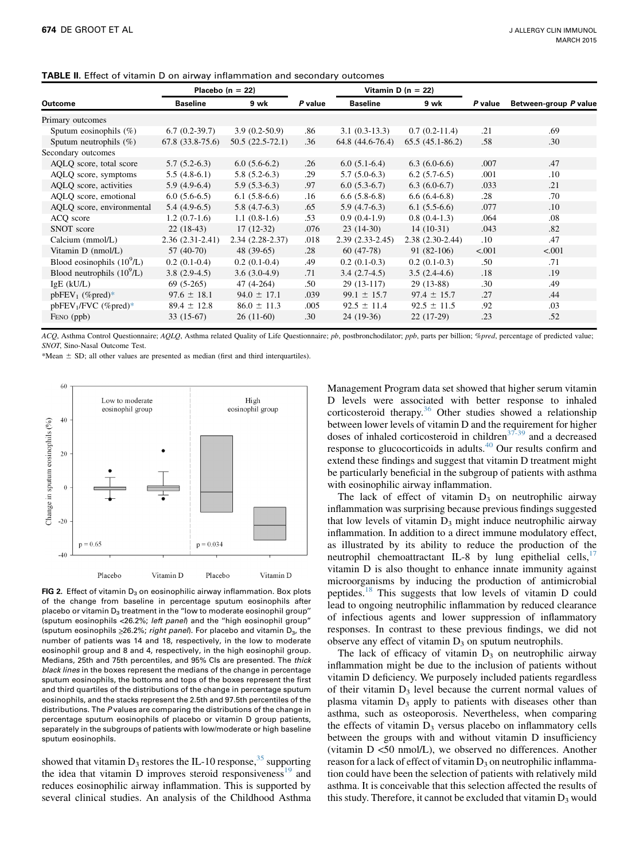|                              |                   | Placebo ( $n = 22$ ) |         | Vitamin D ( $n = 22$ ) |                   |         |                       |
|------------------------------|-------------------|----------------------|---------|------------------------|-------------------|---------|-----------------------|
| Outcome                      | <b>Baseline</b>   | 9 wk                 | P value | <b>Baseline</b>        | 9 wk              | P value | Between-group P value |
| Primary outcomes             |                   |                      |         |                        |                   |         |                       |
| Sputum eosinophils $(\%)$    | $6.7(0.2-39.7)$   | $3.9(0.2-50.9)$      | .86     | $3.1(0.3-13.3)$        | $0.7(0.2-11.4)$   | .21     | .69                   |
| Sputum neutrophils $(\%)$    | $67.8(33.8-75.6)$ | $50.5(22.5-72.1)$    | .36     | $64.8(44.6-76.4)$      | $65.5(45.1-86.2)$ | .58     | .30                   |
| Secondary outcomes           |                   |                      |         |                        |                   |         |                       |
| AQLQ score, total score      | $5.7(5.2-6.3)$    | $6.0(5.6-6.2)$       | .26     | $6.0(5.1-6.4)$         | $6.3(6.0-6.6)$    | .007    | .47                   |
| AQLQ score, symptoms         | $5.5(4.8-6.1)$    | $5.8(5.2-6.3)$       | .29     | $5.7(5.0-6.3)$         | $6.2(5.7-6.5)$    | .001    | $.10\,$               |
| AQLQ score, activities       | $5.9(4.9-6.4)$    | $5.9(5.3-6.3)$       | .97     | $6.0(5.3-6.7)$         | $6.3(6.0-6.7)$    | .033    | .21                   |
| AQLQ score, emotional        | $6.0(5.6-6.5)$    | $6.1(5.8-6.6)$       | .16     | $6.6(5.8-6.8)$         | $6.6(6.4-6.8)$    | .28     | .70                   |
| AQLQ score, environmental    | $5.4(4.9-6.5)$    | $5.8(4.7-6.3)$       | .65     | $5.9(4.7-6.3)$         | $6.1(5.5-6.6)$    | .077    | .10                   |
| ACQ score                    | $1.2(0.7-1.6)$    | $1.1(0.8-1.6)$       | .53     | $0.9(0.4-1.9)$         | $0.8(0.4-1.3)$    | .064    | .08                   |
| SNOT score                   | $22(18-43)$       | $17(12-32)$          | .076    | $23(14-30)$            | $14(10-31)$       | .043    | .82                   |
| Calcium (mmol/L)             | $2.36(2.31-2.41)$ | $2.34(2.28-2.37)$    | .018    | $2.39(2.33-2.45)$      | $2.38(2.30-2.44)$ | .10     | .47                   |
| Vitamin D (nmol/L)           | $57(40-70)$       | $48(39-65)$          | .28     | $60(47-78)$            | $91(82-106)$      | < .001  | < .001                |
| Blood eosinophils $(10^9/L)$ | $0.2(0.1-0.4)$    | $0.2(0.1-0.4)$       | .49     | $0.2(0.1-0.3)$         | $0.2(0.1-0.3)$    | .50     | .71                   |
| Blood neutrophils $(10^9/L)$ | $3.8(2.9-4.5)$    | $3.6(3.0-4.9)$       | .71     | $3.4(2.7-4.5)$         | $3.5(2.4-4.6)$    | .18     | .19                   |
| $IgE$ ( $kU/L$ )             | $69(5-265)$       | $47(4-264)$          | .50     | $29(13-117)$           | $29(13-88)$       | .30     | .49                   |
| $pbFEV_1$ (%pred)*           | $97.6 \pm 18.1$   | $94.0 \pm 17.1$      | .039    | $99.1 \pm 15.7$        | $97.4 \pm 15.7$   | .27     | .44                   |
| $pbFEV1/FVC$ (%pred)*        | $89.4 \pm 12.8$   | $86.0 \pm 11.3$      | .005    | $92.5 \pm 11.4$        | $92.5 \pm 11.5$   | .92     | .03                   |
| FENO (ppb)                   | $33(15-67)$       | $26(11-60)$          | .30     | $24(19-36)$            | $22(17-29)$       | .23     | .52                   |

<span id="page-4-0"></span>TABLE II. Effect of vitamin D on airway inflammation and secondary outcomes

ACQ, Asthma Control Questionnaire; AQLQ, Asthma related Quality of Life Questionnaire; pb, postbronchodilator; ppb, parts per billion; %pred, percentage of predicted value; SNOT, Sino-Nasal Outcome Test.

\*Mean  $\pm$  SD; all other values are presented as median (first and third interquartiles).



FIG 2. Effect of vitamin  $D_3$  on eosinophilic airway inflammation. Box plots of the change from baseline in percentage sputum eosinophils after placebo or vitamin  $D_3$  treatment in the "low to moderate eosinophil group" (sputum eosinophils <26.2%; left panel) and the ''high eosinophil group'' (sputum eosinophils  $\geq 26.2\%$ ; right panel). For placebo and vitamin D<sub>3</sub>, the number of patients was 14 and 18, respectively, in the low to moderate eosinophil group and 8 and 4, respectively, in the high eosinophil group. Medians, 25th and 75th percentiles, and 95% CIs are presented. The thick black lines in the boxes represent the medians of the change in percentage sputum eosinophils, the bottoms and tops of the boxes represent the first and third quartiles of the distributions of the change in percentage sputum eosinophils, and the stacks represent the 2.5th and 97.5th percentiles of the distributions. The P values are comparing the distributions of the change in percentage sputum eosinophils of placebo or vitamin D group patients, separately in the subgroups of patients with low/moderate or high baseline sputum eosinophils.

showed that vitamin  $D_3$  restores the IL-10 response,  $35$  supporting the idea that vitamin D improves steroid responsiveness $19$  and reduces eosinophilic airway inflammation. This is supported by several clinical studies. An analysis of the Childhood Asthma

Management Program data set showed that higher serum vitamin D levels were associated with better response to inhaled corticosteroid therapy.<sup>[36](#page-5-0)</sup> Other studies showed a relationship between lower levels of vitamin D and the requirement for higher doses of inhaled corticosteroid in children $37-39$  and a decreased response to glucocorticoids in adults.<sup>[40](#page-5-0)</sup> Our results confirm and extend these findings and suggest that vitamin D treatment might be particularly beneficial in the subgroup of patients with asthma with eosinophilic airway inflammation.

The lack of effect of vitamin  $D_3$  on neutrophilic airway inflammation was surprising because previous findings suggested that low levels of vitamin  $D_3$  might induce neutrophilic airway inflammation. In addition to a direct immune modulatory effect, as illustrated by its ability to reduce the production of the neutrophil chemoattractant IL-8 by lung epithelial cells, $17$ vitamin D is also thought to enhance innate immunity against microorganisms by inducing the production of antimicrobial peptides.<sup>[18](#page-5-0)</sup> This suggests that low levels of vitamin D could lead to ongoing neutrophilic inflammation by reduced clearance of infectious agents and lower suppression of inflammatory responses. In contrast to these previous findings, we did not observe any effect of vitamin  $D_3$  on sputum neutrophils.

The lack of efficacy of vitamin  $D_3$  on neutrophilic airway inflammation might be due to the inclusion of patients without vitamin D deficiency. We purposely included patients regardless of their vitamin  $D_3$  level because the current normal values of plasma vitamin  $D_3$  apply to patients with diseases other than asthma, such as osteoporosis. Nevertheless, when comparing the effects of vitamin  $D_3$  versus placebo on inflammatory cells between the groups with and without vitamin D insufficiency (vitamin D <50 nmol/L), we observed no differences. Another reason for a lack of effect of vitamin  $D_3$  on neutrophilic inflammation could have been the selection of patients with relatively mild asthma. It is conceivable that this selection affected the results of this study. Therefore, it cannot be excluded that vitamin  $D_3$  would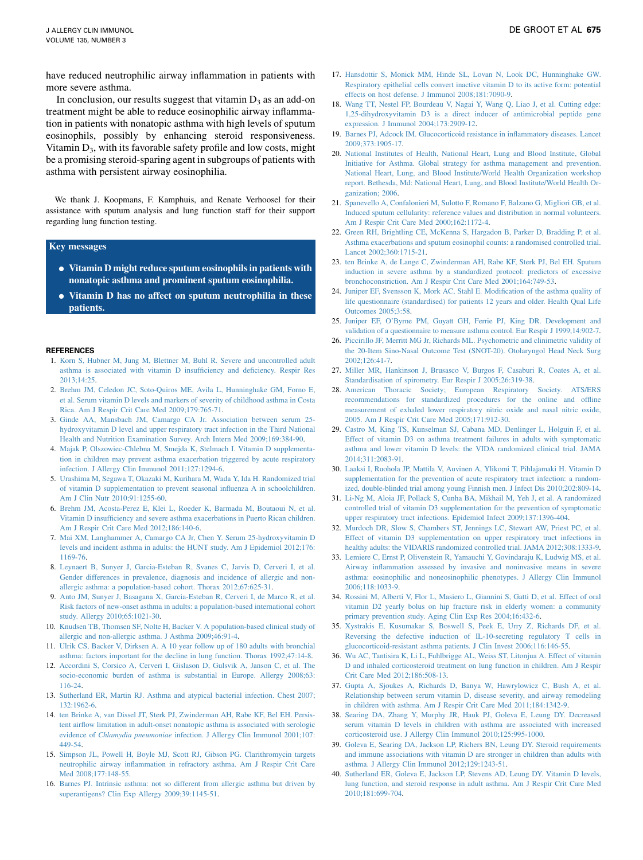<span id="page-5-0"></span>have reduced neutrophilic airway inflammation in patients with more severe asthma.

In conclusion, our results suggest that vitamin  $D_3$  as an add-on treatment might be able to reduce eosinophilic airway inflammation in patients with nonatopic asthma with high levels of sputum eosinophils, possibly by enhancing steroid responsiveness. Vitamin  $D_3$ , with its favorable safety profile and low costs, might be a promising steroid-sparing agent in subgroups of patients with asthma with persistent airway eosinophilia.

We thank J. Koopmans, F. Kamphuis, and Renate Verhoosel for their assistance with sputum analysis and lung function staff for their support regarding lung function testing.

#### Key messages

- Vitamin D might reduce sputum eosinophils in patients with nonatopic asthma and prominent sputum eosinophilia.
- Vitamin D has no affect on sputum neutrophilia in these patients.

#### REFERENCES

- 1. [Korn S, Hubner M, Jung M, Blettner M, Buhl R. Severe and uncontrolled adult](http://refhub.elsevier.com/S0091-6749(14)01736-9/sref1) [asthma is associated with vitamin D insufficiency and deficiency. Respir Res](http://refhub.elsevier.com/S0091-6749(14)01736-9/sref1) [2013;14:25](http://refhub.elsevier.com/S0091-6749(14)01736-9/sref1).
- 2. [Brehm JM, Celedon JC, Soto-Quiros ME, Avila L, Hunninghake GM, Forno E,](http://refhub.elsevier.com/S0091-6749(14)01736-9/sref2) [et al. Serum vitamin D levels and markers of severity of childhood asthma in Costa](http://refhub.elsevier.com/S0091-6749(14)01736-9/sref2) [Rica. Am J Respir Crit Care Med 2009;179:765-71.](http://refhub.elsevier.com/S0091-6749(14)01736-9/sref2)
- 3. [Ginde AA, Mansbach JM, Camargo CA Jr. Association between serum 25](http://refhub.elsevier.com/S0091-6749(14)01736-9/sref3) [hydroxyvitamin D level and upper respiratory tract infection in the Third National](http://refhub.elsevier.com/S0091-6749(14)01736-9/sref3) [Health and Nutrition Examination Survey. Arch Intern Med 2009;169:384-90.](http://refhub.elsevier.com/S0091-6749(14)01736-9/sref3)
- 4. [Majak P, Olszowiec-Chlebna M, Smejda K, Stelmach I. Vitamin D supplementa](http://refhub.elsevier.com/S0091-6749(14)01736-9/sref4)[tion in children may prevent asthma exacerbation triggered by acute respiratory](http://refhub.elsevier.com/S0091-6749(14)01736-9/sref4) [infection. J Allergy Clin Immunol 2011;127:1294-6](http://refhub.elsevier.com/S0091-6749(14)01736-9/sref4).
- 5. [Urashima M, Segawa T, Okazaki M, Kurihara M, Wada Y, Ida H. Randomized trial](http://refhub.elsevier.com/S0091-6749(14)01736-9/sref5) [of vitamin D supplementation to prevent seasonal influenza A in schoolchildren.](http://refhub.elsevier.com/S0091-6749(14)01736-9/sref5) [Am J Clin Nutr 2010;91:1255-60.](http://refhub.elsevier.com/S0091-6749(14)01736-9/sref5)
- 6. [Brehm JM, Acosta-Perez E, Klei L, Roeder K, Barmada M, Boutaoui N, et al.](http://refhub.elsevier.com/S0091-6749(14)01736-9/sref6) [Vitamin D insufficiency and severe asthma exacerbations in Puerto Rican children.](http://refhub.elsevier.com/S0091-6749(14)01736-9/sref6) [Am J Respir Crit Care Med 2012;186:140-6](http://refhub.elsevier.com/S0091-6749(14)01736-9/sref6).
- 7. [Mai XM, Langhammer A, Camargo CA Jr, Chen Y. Serum 25-hydroxyvitamin D](http://refhub.elsevier.com/S0091-6749(14)01736-9/sref7) [levels and incident asthma in adults: the HUNT study. Am J Epidemiol 2012;176:](http://refhub.elsevier.com/S0091-6749(14)01736-9/sref7) [1169-76.](http://refhub.elsevier.com/S0091-6749(14)01736-9/sref7)
- 8. [Leynaert B, Sunyer J, Garcia-Esteban R, Svanes C, Jarvis D, Cerveri I, et al.](http://refhub.elsevier.com/S0091-6749(14)01736-9/sref8) [Gender differences in prevalence, diagnosis and incidence of allergic and non](http://refhub.elsevier.com/S0091-6749(14)01736-9/sref8)[allergic asthma: a population-based cohort. Thorax 2012;67:625-31](http://refhub.elsevier.com/S0091-6749(14)01736-9/sref8).
- 9. [Anto JM, Sunyer J, Basagana X, Garcia-Esteban R, Cerveri I, de Marco R, et al.](http://refhub.elsevier.com/S0091-6749(14)01736-9/sref9) [Risk factors of new-onset asthma in adults: a population-based international cohort](http://refhub.elsevier.com/S0091-6749(14)01736-9/sref9) [study. Allergy 2010;65:1021-30](http://refhub.elsevier.com/S0091-6749(14)01736-9/sref9).
- 10. [Knudsen TB, Thomsen SF, Nolte H, Backer V. A population-based clinical study of](http://refhub.elsevier.com/S0091-6749(14)01736-9/sref10) [allergic and non-allergic asthma. J Asthma 2009;46:91-4](http://refhub.elsevier.com/S0091-6749(14)01736-9/sref10).
- 11. [Ulrik CS, Backer V, Dirksen A. A 10 year follow up of 180 adults with bronchial](http://refhub.elsevier.com/S0091-6749(14)01736-9/sref11) [asthma: factors important for the decline in lung function. Thorax 1992;47:14-8](http://refhub.elsevier.com/S0091-6749(14)01736-9/sref11).
- 12. [Accordini S, Corsico A, Cerveri I, Gislason D, Gulsvik A, Janson C, et al. The](http://refhub.elsevier.com/S0091-6749(14)01736-9/sref12) [socio-economic burden of asthma is substantial in Europe. Allergy 2008;63:](http://refhub.elsevier.com/S0091-6749(14)01736-9/sref12) [116-24.](http://refhub.elsevier.com/S0091-6749(14)01736-9/sref12)
- 13. [Sutherland ER, Martin RJ. Asthma and atypical bacterial infection. Chest 2007;](http://refhub.elsevier.com/S0091-6749(14)01736-9/sref13) [132:1962-6](http://refhub.elsevier.com/S0091-6749(14)01736-9/sref13).
- 14. [ten Brinke A, van Dissel JT, Sterk PJ, Zwinderman AH, Rabe KF, Bel EH. Persis](http://refhub.elsevier.com/S0091-6749(14)01736-9/sref14)[tent airflow limitation in adult-onset nonatopic asthma is associated with serologic](http://refhub.elsevier.com/S0091-6749(14)01736-9/sref14) evidence of Chlamydia pneumoniae [infection. J Allergy Clin Immunol 2001;107:](http://refhub.elsevier.com/S0091-6749(14)01736-9/sref14) [449-54.](http://refhub.elsevier.com/S0091-6749(14)01736-9/sref14)
- 15. [Simpson JL, Powell H, Boyle MJ, Scott RJ, Gibson PG. Clarithromycin targets](http://refhub.elsevier.com/S0091-6749(14)01736-9/sref15) [neutrophilic airway inflammation in refractory asthma. Am J Respir Crit Care](http://refhub.elsevier.com/S0091-6749(14)01736-9/sref15) Med 2008:177:148-55.
- 16. [Barnes PJ. Intrinsic asthma: not so different from allergic asthma but driven by](http://refhub.elsevier.com/S0091-6749(14)01736-9/sref16) [superantigens? Clin Exp Allergy 2009;39:1145-51.](http://refhub.elsevier.com/S0091-6749(14)01736-9/sref16)
- 17. [Hansdottir S, Monick MM, Hinde SL, Lovan N, Look DC, Hunninghake GW.](http://refhub.elsevier.com/S0091-6749(14)01736-9/sref17) [Respiratory epithelial cells convert inactive vitamin D to its active form: potential](http://refhub.elsevier.com/S0091-6749(14)01736-9/sref17) [effects on host defense. J Immunol 2008;181:7090-9.](http://refhub.elsevier.com/S0091-6749(14)01736-9/sref17)
- 18. [Wang TT, Nestel FP, Bourdeau V, Nagai Y, Wang Q, Liao J, et al. Cutting edge:](http://refhub.elsevier.com/S0091-6749(14)01736-9/sref18) [1,25-dihydroxyvitamin D3 is a direct inducer of antimicrobial peptide gene](http://refhub.elsevier.com/S0091-6749(14)01736-9/sref18) [expression. J Immunol 2004;173:2909-12.](http://refhub.elsevier.com/S0091-6749(14)01736-9/sref18)
- 19. [Barnes PJ, Adcock IM. Glucocorticoid resistance in inflammatory diseases. Lancet](http://refhub.elsevier.com/S0091-6749(14)01736-9/sref19) [2009;373:1905-17.](http://refhub.elsevier.com/S0091-6749(14)01736-9/sref19)
- 20. [National Institutes of Health, National Heart, Lung and Blood Institute, Global](http://refhub.elsevier.com/S0091-6749(14)01736-9/sref20) [Initiative for Asthma. Global strategy for asthma management and prevention.](http://refhub.elsevier.com/S0091-6749(14)01736-9/sref20) [National Heart, Lung, and Blood Institute/World Health Organization workshop](http://refhub.elsevier.com/S0091-6749(14)01736-9/sref20) [report. Bethesda, Md: National Heart, Lung, and Blood Institute/World Health Or](http://refhub.elsevier.com/S0091-6749(14)01736-9/sref20)[ganization; 2006.](http://refhub.elsevier.com/S0091-6749(14)01736-9/sref20)
- 21. [Spanevello A, Confalonieri M, Sulotto F, Romano F, Balzano G, Migliori GB, et al.](http://refhub.elsevier.com/S0091-6749(14)01736-9/sref21) [Induced sputum cellularity: reference values and distribution in normal volunteers.](http://refhub.elsevier.com/S0091-6749(14)01736-9/sref21) [Am J Respir Crit Care Med 2000;162:1172-4](http://refhub.elsevier.com/S0091-6749(14)01736-9/sref21).
- 22. [Green RH, Brightling CE, McKenna S, Hargadon B, Parker D, Bradding P, et al.](http://refhub.elsevier.com/S0091-6749(14)01736-9/sref22) [Asthma exacerbations and sputum eosinophil counts: a randomised controlled trial.](http://refhub.elsevier.com/S0091-6749(14)01736-9/sref22) [Lancet 2002;360:1715-21](http://refhub.elsevier.com/S0091-6749(14)01736-9/sref22).
- 23. [ten Brinke A, de Lange C, Zwinderman AH, Rabe KF, Sterk PJ, Bel EH. Sputum](http://refhub.elsevier.com/S0091-6749(14)01736-9/sref23) [induction in severe asthma by a standardized protocol: predictors of excessive](http://refhub.elsevier.com/S0091-6749(14)01736-9/sref23) [bronchoconstriction. Am J Respir Crit Care Med 2001;164:749-53.](http://refhub.elsevier.com/S0091-6749(14)01736-9/sref23)
- 24. [Juniper EF, Svensson K, Mork AC, Stahl E. Modification of the asthma quality of](http://refhub.elsevier.com/S0091-6749(14)01736-9/sref24) [life questionnaire \(standardised\) for patients 12 years and older. Health Qual Life](http://refhub.elsevier.com/S0091-6749(14)01736-9/sref24) [Outcomes 2005;3:58](http://refhub.elsevier.com/S0091-6749(14)01736-9/sref24).
- 25. [Juniper EF, O'Byrne PM, Guyatt GH, Ferrie PJ, King DR. Development and](http://refhub.elsevier.com/S0091-6749(14)01736-9/sref25) [validation of a questionnaire to measure asthma control. Eur Respir J 1999;14:902-7](http://refhub.elsevier.com/S0091-6749(14)01736-9/sref25).
- 26. [Piccirillo JF, Merritt MG Jr, Richards ML. Psychometric and clinimetric validity of](http://refhub.elsevier.com/S0091-6749(14)01736-9/sref26) [the 20-Item Sino-Nasal Outcome Test \(SNOT-20\). Otolaryngol Head Neck Surg](http://refhub.elsevier.com/S0091-6749(14)01736-9/sref26) [2002;126:41-7](http://refhub.elsevier.com/S0091-6749(14)01736-9/sref26).
- 27. [Miller MR, Hankinson J, Brusasco V, Burgos F, Casaburi R, Coates A, et al.](http://refhub.elsevier.com/S0091-6749(14)01736-9/sref27) [Standardisation of spirometry. Eur Respir J 2005;26:319-38.](http://refhub.elsevier.com/S0091-6749(14)01736-9/sref27)
- 28. [American Thoracic Society; European Respiratory Society. ATS/ERS](http://refhub.elsevier.com/S0091-6749(14)01736-9/sref28) [recommendations for standardized procedures for the online and offline](http://refhub.elsevier.com/S0091-6749(14)01736-9/sref28) [measurement of exhaled lower respiratory nitric oxide and nasal nitric oxide,](http://refhub.elsevier.com/S0091-6749(14)01736-9/sref28) [2005. Am J Respir Crit Care Med 2005;171:912-30](http://refhub.elsevier.com/S0091-6749(14)01736-9/sref28).
- 29. [Castro M, King TS, Kunselman SJ, Cabana MD, Denlinger L, Holguin F, et al.](http://refhub.elsevier.com/S0091-6749(14)01736-9/sref29) [Effect of vitamin D3 on asthma treatment failures in adults with symptomatic](http://refhub.elsevier.com/S0091-6749(14)01736-9/sref29) [asthma and lower vitamin D levels: the VIDA randomized clinical trial. JAMA](http://refhub.elsevier.com/S0091-6749(14)01736-9/sref29) [2014;311:2083-91.](http://refhub.elsevier.com/S0091-6749(14)01736-9/sref29)
- 30. [Laaksi I, Ruohola JP, Mattila V, Auvinen A, Ylikomi T, Pihlajamaki H. Vitamin D](http://refhub.elsevier.com/S0091-6749(14)01736-9/sref30) [supplementation for the prevention of acute respiratory tract infection: a random](http://refhub.elsevier.com/S0091-6749(14)01736-9/sref30)[ized, double-blinded trial among young Finnish men. J Infect Dis 2010;202:809-14](http://refhub.elsevier.com/S0091-6749(14)01736-9/sref30).
- 31. [Li-Ng M, Aloia JF, Pollack S, Cunha BA, Mikhail M, Yeh J, et al. A randomized](http://refhub.elsevier.com/S0091-6749(14)01736-9/sref31) [controlled trial of vitamin D3 supplementation for the prevention of symptomatic](http://refhub.elsevier.com/S0091-6749(14)01736-9/sref31) [upper respiratory tract infections. Epidemiol Infect 2009;137:1396-404.](http://refhub.elsevier.com/S0091-6749(14)01736-9/sref31)
- 32. [Murdoch DR, Slow S, Chambers ST, Jennings LC, Stewart AW, Priest PC, et al.](http://refhub.elsevier.com/S0091-6749(14)01736-9/sref32) [Effect of vitamin D3 supplementation on upper respiratory tract infections in](http://refhub.elsevier.com/S0091-6749(14)01736-9/sref32) [healthy adults: the VIDARIS randomized controlled trial. JAMA 2012;308:1333-9](http://refhub.elsevier.com/S0091-6749(14)01736-9/sref32).
- 33. [Lemiere C, Ernst P, Olivenstein R, Yamauchi Y, Govindaraju K, Ludwig MS, et al.](http://refhub.elsevier.com/S0091-6749(14)01736-9/sref33) [Airway inflammation assessed by invasive and noninvasive means in severe](http://refhub.elsevier.com/S0091-6749(14)01736-9/sref33) [asthma: eosinophilic and noneosinophilic phenotypes. J Allergy Clin Immunol](http://refhub.elsevier.com/S0091-6749(14)01736-9/sref33) [2006;118:1033-9](http://refhub.elsevier.com/S0091-6749(14)01736-9/sref33).
- 34. [Rossini M, Alberti V, Flor L, Masiero L, Giannini S, Gatti D, et al. Effect of oral](http://refhub.elsevier.com/S0091-6749(14)01736-9/sref34) [vitamin D2 yearly bolus on hip fracture risk in elderly women: a community](http://refhub.elsevier.com/S0091-6749(14)01736-9/sref34) [primary prevention study. Aging Clin Exp Res 2004;16:432-6](http://refhub.elsevier.com/S0091-6749(14)01736-9/sref34).
- 35. [Xystrakis E, Kusumakar S, Boswell S, Peek E, Urry Z, Richards DF, et al.](http://refhub.elsevier.com/S0091-6749(14)01736-9/sref35) [Reversing the defective induction of IL-10-secreting regulatory T cells in](http://refhub.elsevier.com/S0091-6749(14)01736-9/sref35) [glucocorticoid-resistant asthma patients. J Clin Invest 2006;116:146-55](http://refhub.elsevier.com/S0091-6749(14)01736-9/sref35).
- 36. [Wu AC, Tantisira K, Li L, Fuhlbrigge AL, Weiss ST, Litonjua A. Effect of vitamin](http://refhub.elsevier.com/S0091-6749(14)01736-9/sref36) [D and inhaled corticosteroid treatment on lung function in children. Am J Respir](http://refhub.elsevier.com/S0091-6749(14)01736-9/sref36) [Crit Care Med 2012;186:508-13](http://refhub.elsevier.com/S0091-6749(14)01736-9/sref36).
- 37. [Gupta A, Sjoukes A, Richards D, Banya W, Hawrylowicz C, Bush A, et al.](http://refhub.elsevier.com/S0091-6749(14)01736-9/sref37) [Relationship between serum vitamin D, disease severity, and airway remodeling](http://refhub.elsevier.com/S0091-6749(14)01736-9/sref37) [in children with asthma. Am J Respir Crit Care Med 2011;184:1342-9](http://refhub.elsevier.com/S0091-6749(14)01736-9/sref37).
- 38. [Searing DA, Zhang Y, Murphy JR, Hauk PJ, Goleva E, Leung DY. Decreased](http://refhub.elsevier.com/S0091-6749(14)01736-9/sref38) [serum vitamin D levels in children with asthma are associated with increased](http://refhub.elsevier.com/S0091-6749(14)01736-9/sref38) [corticosteroid use. J Allergy Clin Immunol 2010;125:995-1000](http://refhub.elsevier.com/S0091-6749(14)01736-9/sref38).
- 39. [Goleva E, Searing DA, Jackson LP, Richers BN, Leung DY. Steroid requirements](http://refhub.elsevier.com/S0091-6749(14)01736-9/sref39) [and immune associations with vitamin D are stronger in children than adults with](http://refhub.elsevier.com/S0091-6749(14)01736-9/sref39) [asthma. J Allergy Clin Immunol 2012;129:1243-51](http://refhub.elsevier.com/S0091-6749(14)01736-9/sref39).
- 40. [Sutherland ER, Goleva E, Jackson LP, Stevens AD, Leung DY. Vitamin D levels,](http://refhub.elsevier.com/S0091-6749(14)01736-9/sref40) [lung function, and steroid response in adult asthma. Am J Respir Crit Care Med](http://refhub.elsevier.com/S0091-6749(14)01736-9/sref40) [2010;181:699-704.](http://refhub.elsevier.com/S0091-6749(14)01736-9/sref40)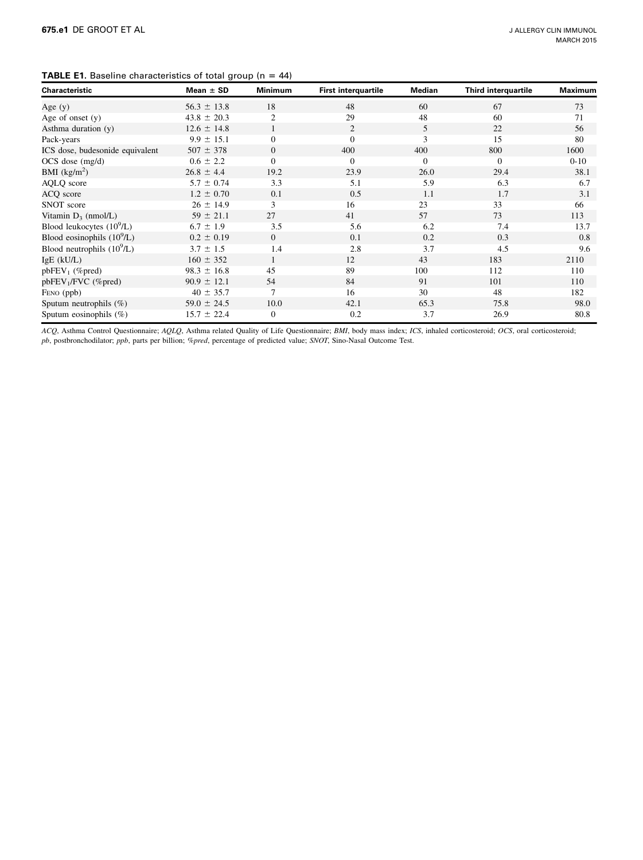# <span id="page-6-0"></span>**TABLE E1.** Baseline characteristics of total group ( $n = 44$ )

| Characteristic                  | Mean $\pm$ SD   | <b>Minimum</b> | <b>First interquartile</b> | Median   | <b>Third interquartile</b> | Maximum  |
|---------------------------------|-----------------|----------------|----------------------------|----------|----------------------------|----------|
| Age $(y)$                       | $56.3 \pm 13.8$ | 18             | 48                         | 60       | 67                         | 73       |
| Age of onset $(y)$              | $43.8 \pm 20.3$ | $\overline{2}$ | 29                         | 48       | 60                         | 71       |
| Asthma duration (y)             | $12.6 \pm 14.8$ |                | $\overline{2}$             | 5        | 22                         | 56       |
| Pack-years                      | $9.9 \pm 15.1$  | $\Omega$       | $\Omega$                   | 3        | 15                         | 80       |
| ICS dose, budesonide equivalent | $507 \pm 378$   | $\Omega$       | 400                        | 400      | 800                        | 1600     |
| $OCS$ dose $(mg/d)$             | $0.6 \pm 2.2$   | $\Omega$       | $\Omega$                   | $\Omega$ | $\Omega$                   | $0 - 10$ |
| BMI $(kg/m^2)$                  | $26.8 \pm 4.4$  | 19.2           | 23.9                       | 26.0     | 29.4                       | 38.1     |
| AQLQ score                      | $5.7 \pm 0.74$  | 3.3            | 5.1                        | 5.9      | 6.3                        | 6.7      |
| ACQ score                       | $1.2 \pm 0.70$  | 0.1            | 0.5                        | 1.1      | 1.7                        | 3.1      |
| SNOT score                      | $26 \pm 14.9$   | 3              | 16                         | 23       | 33                         | 66       |
| Vitamin $D_3$ (nmol/L)          | $59 \pm 21.1$   | 27             | 41                         | 57       | 73                         | 113      |
| Blood leukocytes $(10^9/L)$     | $6.7 \pm 1.9$   | 3.5            | 5.6                        | 6.2      | 7.4                        | 13.7     |
| Blood eosinophils $(10^9/L)$    | $0.2 \pm 0.19$  | $\Omega$       | 0.1                        | 0.2      | 0.3                        | 0.8      |
| Blood neutrophils $(10^9/L)$    | $3.7 \pm 1.5$   | 1.4            | 2.8                        | 3.7      | 4.5                        | 9.6      |
| $IgE$ ( $kU/L$ )                | $160 \pm 352$   |                | 12                         | 43       | 183                        | 2110     |
| $pbFEV_1$ (%pred)               | $98.3 \pm 16.8$ | 45             | 89                         | 100      | 112                        | 110      |
| $pbFEV1/FVC$ (%pred)            | $90.9 \pm 12.1$ | 54             | 84                         | 91       | 101                        | 110      |
| FENO (ppb)                      | $40 \pm 35.7$   | 7              | 16                         | 30       | 48                         | 182      |
| Sputum neutrophils $(\%)$       | $59.0 \pm 24.5$ | 10.0           | 42.1                       | 65.3     | 75.8                       | 98.0     |
| Sputum eosinophils $(\%)$       | $15.7 \pm 22.4$ | $\theta$       | 0.2                        | 3.7      | 26.9                       | 80.8     |

ACQ, Asthma Control Questionnaire; AQLQ, Asthma related Quality of Life Questionnaire; BMI, body mass index; ICS, inhaled corticosteroid; OCS, oral corticosteroid; pb, postbronchodilator; ppb, parts per billion; %pred, percentage of predicted value; SNOT, Sino-Nasal Outcome Test.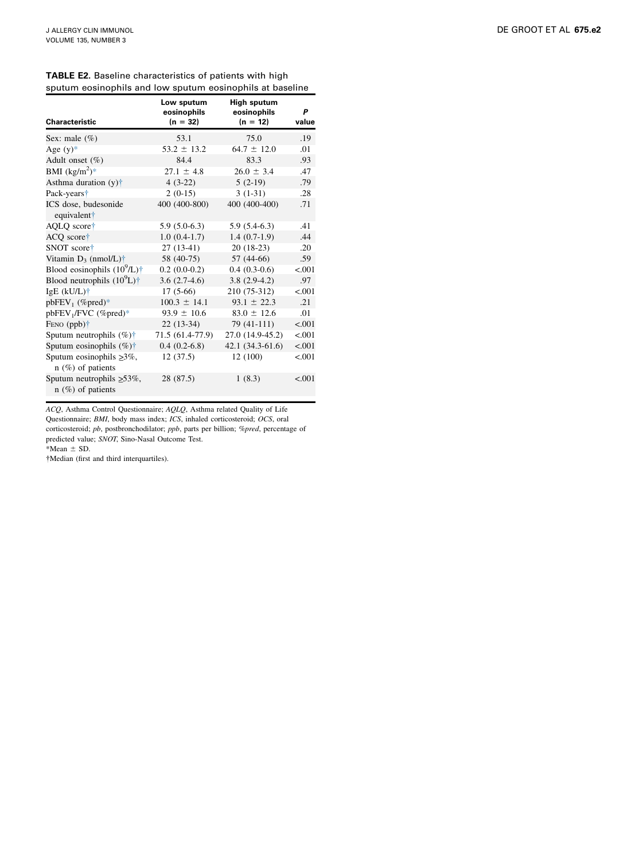| Characteristic                                          | Low sputum<br>eosinophils<br>$(n = 32)$ | High sputum<br>eosinophils<br>$(n = 12)$ | P<br>value |
|---------------------------------------------------------|-----------------------------------------|------------------------------------------|------------|
| Sex: male $(\%)$                                        | 53.1                                    | 75.0                                     | .19        |
| Age $(y)$ *                                             | $53.2 \pm 13.2$                         | $64.7 \pm 12.0$                          | .01        |
| Adult onset (%)                                         | 84.4                                    | 83.3                                     | .93        |
| BMI $(kg/m^2)^*$                                        | $27.1 \pm 4.8$                          | $26.0 \pm 3.4$                           | .47        |
| Asthma duration $(y)$ <sup>+</sup>                      | $4(3-22)$                               | $5(2-19)$                                | .79        |
| Pack-years <sup>+</sup>                                 | $2(0-15)$                               | $3(1-31)$                                | .28        |
| ICS dose, budesonide<br>equivalent†                     | 400 (400-800)                           | 400 (400-400)                            | .71        |
| AQLQ score†                                             | $5.9(5.0-6.3)$                          | $5.9(5.4-6.3)$                           | .41        |
| ACQ score†                                              | $1.0(0.4-1.7)$                          | $1.4(0.7-1.9)$                           | .44        |
| SNOT score†                                             | $27(13-41)$                             | $20(18-23)$                              | .20        |
| Vitamin $D_3$ (nmol/L) <sup>†</sup>                     | 58 (40-75)                              | 57 (44-66)                               | .59        |
| Blood eosinophils $(10^9/L)$ <sup>†</sup>               | $0.2(0.0-0.2)$                          | $0.4(0.3-0.6)$                           | < .001     |
| Blood neutrophils $(10^9L)\dagger$                      | $3.6(2.7-4.6)$                          | $3.8(2.9-4.2)$                           | .97        |
| IgE $(kU/L)$ <sup>+</sup>                               | $17(5-66)$                              | 210 (75-312)                             | < 0.01     |
| $pbFEV_1$ (%pred)*                                      | $100.3 \pm 14.1$                        | $93.1 \pm 22.3$                          | .21        |
| pbFEV <sub>1</sub> /FVC (%pred)*                        | $93.9 \pm 10.6$                         | $83.0 \pm 12.6$                          | .01        |
| FENO $(ppb)$ <sup>†</sup>                               | $22(13-34)$                             | 79 (41-111)                              | < .001     |
| Sputum neutrophils $(\%)\dagger$                        | 71.5 (61.4-77.9)                        | 27.0 (14.9-45.2)                         | < .001     |
| Sputum eosinophils $(\%)\dagger$                        | $0.4(0.2-6.8)$                          | $42.1(34.3-61.6)$                        | < .001     |
| Sputum eosinophils $\geq 3\%$ ,<br>$n$ (%) of patients  | 12(37.5)                                | 12 (100)                                 | < .001     |
| Sputum neutrophils $\geq 53\%$ ,<br>$n$ (%) of patients | 28 (87.5)                               | 1(8.3)                                   | < 0.01     |

|  |  | <b>TABLE E2.</b> Baseline characteristics of patients with high |  |
|--|--|-----------------------------------------------------------------|--|
|  |  | sputum eosinophils and low sputum eosinophils at baseline       |  |

ACQ, Asthma Control Questionnaire; AQLQ, Asthma related Quality of Life

Questionnaire; BMI, body mass index; ICS, inhaled corticosteroid; OCS, oral corticosteroid; pb, postbronchodilator; ppb, parts per billion; %pred, percentage of predicted value; SNOT, Sino-Nasal Outcome Test.

 $*Mean \pm SD.$ 

Median (first and third interquartiles).